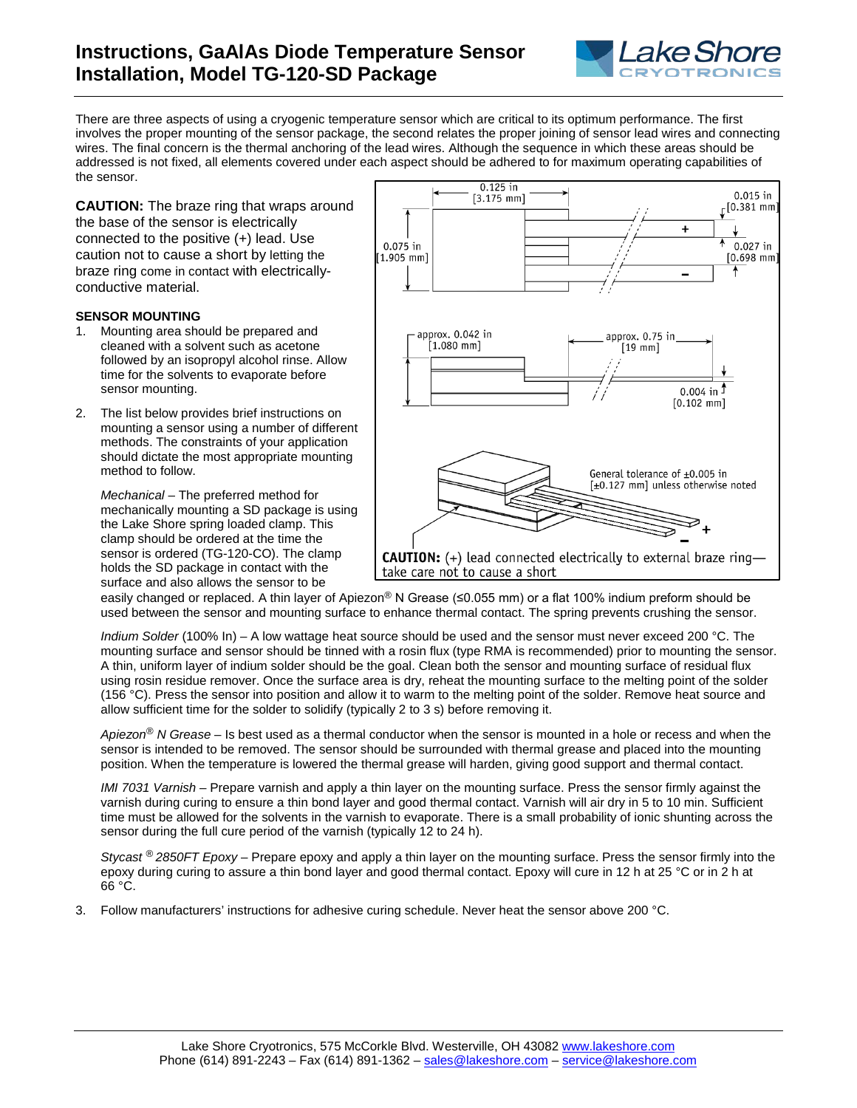

There are three aspects of using a cryogenic temperature sensor which are critical to its optimum performance. The first involves the proper mounting of the sensor package, the second relates the proper joining of sensor lead wires and connecting wires. The final concern is the thermal anchoring of the lead wires. Although the sequence in which these areas should be addressed is not fixed, all elements covered under each aspect should be adhered to for maximum operating capabilities of the sensor.

**CAUTION:** The braze ring that wraps around the base of the sensor is electrically connected to the positive (+) lead. Use caution not to cause a short by letting the braze ring come in contact with electricallyconductive material.

## **SENSOR MOUNTING**

- 1. Mounting area should be prepared and cleaned with a solvent such as acetone followed by an isopropyl alcohol rinse. Allow time for the solvents to evaporate before sensor mounting.
- 2. The list below provides brief instructions on mounting a sensor using a number of different methods. The constraints of your application should dictate the most appropriate mounting method to follow.

*Mechanical* – The preferred method for mechanically mounting a SD package is using the Lake Shore spring loaded clamp. This clamp should be ordered at the time the sensor is ordered (TG-120-CO). The clamp holds the SD package in contact with the surface and also allows the sensor to be



easily changed or replaced. A thin layer of Apiezon<sup>®</sup> N Grease (≤0.055 mm) or a flat 100% indium preform should be used between the sensor and mounting surface to enhance thermal contact. The spring prevents crushing the sensor.

*Indium Solder* (100% In) – A low wattage heat source should be used and the sensor must never exceed 200 °C. The mounting surface and sensor should be tinned with a rosin flux (type RMA is recommended) prior to mounting the sensor. A thin, uniform layer of indium solder should be the goal. Clean both the sensor and mounting surface of residual flux using rosin residue remover. Once the surface area is dry, reheat the mounting surface to the melting point of the solder (156 °C). Press the sensor into position and allow it to warm to the melting point of the solder. Remove heat source and allow sufficient time for the solder to solidify (typically 2 to 3 s) before removing it.

*Apiezon® N Grease* – Is best used as a thermal conductor when the sensor is mounted in a hole or recess and when the sensor is intended to be removed. The sensor should be surrounded with thermal grease and placed into the mounting position. When the temperature is lowered the thermal grease will harden, giving good support and thermal contact.

*IMI 7031 Varnish* – Prepare varnish and apply a thin layer on the mounting surface. Press the sensor firmly against the varnish during curing to ensure a thin bond layer and good thermal contact. Varnish will air dry in 5 to 10 min. Sufficient time must be allowed for the solvents in the varnish to evaporate. There is a small probability of ionic shunting across the sensor during the full cure period of the varnish (typically 12 to 24 h).

*Stycast ® 2850FT Epoxy* – Prepare epoxy and apply a thin layer on the mounting surface. Press the sensor firmly into the epoxy during curing to assure a thin bond layer and good thermal contact. Epoxy will cure in 12 h at 25 °C or in 2 h at 66 °C.

3. Follow manufacturers' instructions for adhesive curing schedule. Never heat the sensor above 200 °C.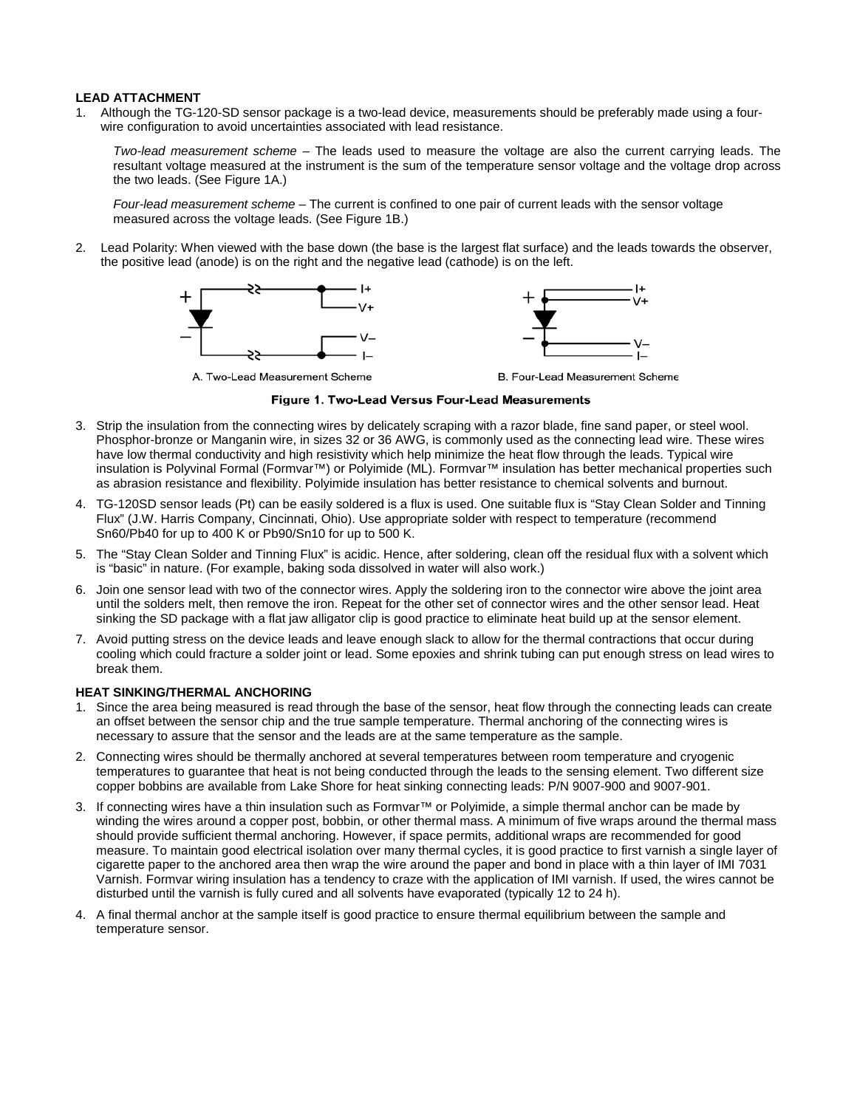## **LEAD ATTACHMENT**

1. Although the TG-120-SD sensor package is a two-lead device, measurements should be preferably made using a fourwire configuration to avoid uncertainties associated with lead resistance.

*Two-lead measurement scheme* – The leads used to measure the voltage are also the current carrying leads. The resultant voltage measured at the instrument is the sum of the temperature sensor voltage and the voltage drop across the two leads. (See Figure 1A.)

*Four-lead measurement scheme* – The current is confined to one pair of current leads with the sensor voltage measured across the voltage leads. (See Figure 1B.)

2. Lead Polarity: When viewed with the base down (the base is the largest flat surface) and the leads towards the observer, the positive lead (anode) is on the right and the negative lead (cathode) is on the left.



Figure 1. Two-Lead Versus Four-Lead Measurements

- 3. Strip the insulation from the connecting wires by delicately scraping with a razor blade, fine sand paper, or steel wool. Phosphor-bronze or Manganin wire, in sizes 32 or 36 AWG, is commonly used as the connecting lead wire. These wires have low thermal conductivity and high resistivity which help minimize the heat flow through the leads. Typical wire insulation is Polyvinal Formal (Formvar™) or Polyimide (ML). Formvar™ insulation has better mechanical properties such as abrasion resistance and flexibility. Polyimide insulation has better resistance to chemical solvents and burnout.
- 4. TG-120SD sensor leads (Pt) can be easily soldered is a flux is used. One suitable flux is "Stay Clean Solder and Tinning Flux" (J.W. Harris Company, Cincinnati, Ohio). Use appropriate solder with respect to temperature (recommend Sn60/Pb40 for up to 400 K or Pb90/Sn10 for up to 500 K.
- 5. The "Stay Clean Solder and Tinning Flux" is acidic. Hence, after soldering, clean off the residual flux with a solvent which is "basic" in nature. (For example, baking soda dissolved in water will also work.)
- 6. Join one sensor lead with two of the connector wires. Apply the soldering iron to the connector wire above the joint area until the solders melt, then remove the iron. Repeat for the other set of connector wires and the other sensor lead. Heat sinking the SD package with a flat jaw alligator clip is good practice to eliminate heat build up at the sensor element.
- 7. Avoid putting stress on the device leads and leave enough slack to allow for the thermal contractions that occur during cooling which could fracture a solder joint or lead. Some epoxies and shrink tubing can put enough stress on lead wires to break them.

## **HEAT SINKING/THERMAL ANCHORING**

- 1. Since the area being measured is read through the base of the sensor, heat flow through the connecting leads can create an offset between the sensor chip and the true sample temperature. Thermal anchoring of the connecting wires is necessary to assure that the sensor and the leads are at the same temperature as the sample.
- 2. Connecting wires should be thermally anchored at several temperatures between room temperature and cryogenic temperatures to guarantee that heat is not being conducted through the leads to the sensing element. Two different size copper bobbins are available from Lake Shore for heat sinking connecting leads: P/N 9007-900 and 9007-901.
- 3. If connecting wires have a thin insulation such as Formvar™ or Polyimide, a simple thermal anchor can be made by winding the wires around a copper post, bobbin, or other thermal mass. A minimum of five wraps around the thermal mass should provide sufficient thermal anchoring. However, if space permits, additional wraps are recommended for good measure. To maintain good electrical isolation over many thermal cycles, it is good practice to first varnish a single layer of cigarette paper to the anchored area then wrap the wire around the paper and bond in place with a thin layer of IMI 7031 Varnish. Formvar wiring insulation has a tendency to craze with the application of IMI varnish. If used, the wires cannot be disturbed until the varnish is fully cured and all solvents have evaporated (typically 12 to 24 h).
- 4. A final thermal anchor at the sample itself is good practice to ensure thermal equilibrium between the sample and temperature sensor.